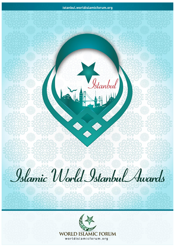# Islamic World Istanbul Awards

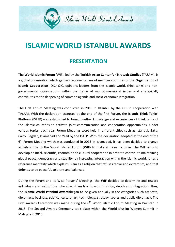

## **ISLAMIC WORLD ISTANBUL AWARDS**

## **PRESENTATION**

The **World Islamic Forum** (WIF), led by the **Turkish Asian Center for Strategic Studies** (TASAM), is a global organization which gathers representatives of member countries of the **Organization of Islamic Cooperation** (OIC) OIC, opinions leaders from the Islamic world, think tanks and nongovernmental organizations within the frame of multi-dimensional issues and strategically contributes to the deepening of common agenda and socio-economic integration.

The First Forum Meeting was conducted in 2010 in Istanbul by the OIC in cooperation with TASAM. With the declaration accepted at the end of the first Forum, the **Islamic Think Tanks' Platform** (ISTTP) was established to bring together knowledge and experiences of think tanks of the Islamic countries to activate joint communication and cooperation opportunities. Under various topics, each year Forum Meetings were held in different cities such as Istanbul, Baku, Cairo, Bagdad, Islamabad and Yezd by the ISTTP. With the declaration adopted at the end of the 6<sup>th</sup> Forum Meeting which was conducted in 2015 in Islamabad, it has been decided to change activity's title to the World Islamic Forum (**WIF**) to make it more inclusive. The WIF aims to develop political, scientific, economic and cultural cooperation in order to contribute maintaining global peace, democracy and stability, by increasing interaction within the Islamic world. It has a reference mentality which explains Islam as a religion that refuses terror and extremism, and that defends to be peaceful, tolerant and balanced.

During the Forum and its Wise Persons' Meetings, the **WIF** decided to determine and reward individuals and institutions who strengthen Islamic world's vision, depth and integration. Thus, the **Islamic World Istanbul Awards**began to be given annually in the categories such as; state, diplomacy, business, science, culture, art, technology, strategy, sports and public diplomacy. The First Awards Ceremony was made during the  $6<sup>th</sup>$  World Islamic Forum Meeting in Pakistan in 2015. The Second Awards Ceremony took place within the World Muslim Women Summit in Malaysia in 2016.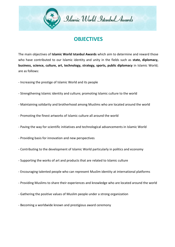

## **OBJECTIVES**

The main objectives of **Islamic World Istanbul Awards** which aim to determine and reward those who have contributed to our Islamic identity and unity in the fields such as **state, diplomacy, business, science, culture, art, technology, strategy, sports, public diplomacy** in Islamic World; are as follows:

- Increasing the prestige of Islamic World and its people

- Strengthening Islamic identity and culture; promoting Islamic culture to the world
- Maintaining solidarity and brotherhood among Muslims who are located around the world
- Promoting the finest artworks of Islamic culture all around the world
- Paving the way for scientific initiatives and technological advancements in Islamic World
- Providing basis for innovation and new perspectives
- Contributing to the development of Islamic World particularly in politics and economy
- Supporting the works of art and products that are related to Islamic culture
- Encouraging talented people who can represent Muslim identity at international platforms
- Providing Muslims to share their experiences and knowledge who are located around the world
- Gathering the positive values of Muslim people under a strong organization
- Becoming a worldwide known and prestigious award ceremony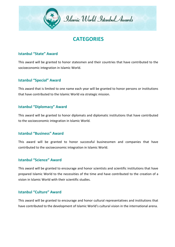

## **CATEGORIES**

#### **Istanbul "State" Award**

This award will be granted to honor statesmen and their countries that have contributed to the socioeconomic integration in Islamic World.

#### **Istanbul "Special" Award**

This award that is limited to one name each year will be granted to honor persons or institutions that have contributed to the Islamic World via strategic mission.

#### **Istanbul "Diplomacy" Award**

This award will be granted to honor diplomats and diplomatic institutions that have contributed to the socioeconomic integration in Islamic World.

#### **Istanbul "Business" Award**

This award will be granted to honor successful businessmen and companies that have contributed to the socioeconomic integration in Islamic World.

#### **Istanbul "Science" Award**

This award will be granted to encourage and honor scientists and scientific institutions that have prepared Islamic World to the necessities of the time and have contributed to the creation of a vision in Islamic World with their scientific studies.

#### **Istanbul "Culture" Award**

This award will be granted to encourage and honor cultural representatives and institutions that have contributed to the development of Islamic World's cultural vision in the international arena.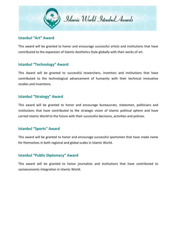

#### **Istanbul "Art" Award**

This award will be granted to honor and encourage successful artists and institutions that have contributed to the expansion of Islamic Aesthetics Style globally with their works of art.

#### **Istanbul "Technology" Award**

This Award will be granted to successful researchers, inventors and institutions that have contributed to the technological advancement of humanity with their technical innovative studies and inventions.

### **Istanbul "Strategy" Award**

This award will be granted to honor and encourage bureaucrats, statesmen, politicians and institutions that have contributed to the strategic vision of Islamic political sphere and have carried Islamic World to the future with their successful decisions, activities and policies.

#### **Istanbul "Sports" Award**

This award will be granted to honor and encourage successful sportsmen that have made name for themselves in both regional and global scales in Islamic World.

#### **Istanbul "Public Diplomacy" Award**

This award will be granted to honor journalists and institutions that have contributed to socioeconomic integration in Islamic World.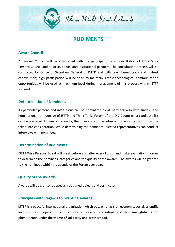

## **RUDIMENTS**

#### **Award Council**

An Award Council will be established with the participation and consultation of ISTTP Wise Persons Council and all of its bodies and institutional partners. The consultation process will be conducted by Office of Secretary General of ISTTP and with least bureaucracy and highest contribution; high participation will be tried to maintain. Latest technological communication opportunities will be used at maximum level during management of this process within ISTTP Network.

#### **Determination of Nominees**

As particular persons and institutions can be nominated by all partners; also with surveys and nominations from outside of ISTTP and Think Tanks Forum of the OIC Countries, a candidate list can be prepared. In case of necessity; the opinions of universities and scientific intuitions can be taken into consideration. While determining the nominees; elected representatives can conduct interviews with nominees.

#### **Determination of Rudiments**

ISTTP Wise Persons Board will meet before and after every Forum and make evaluation in order to determine the nominees, categories and the quality of the awards. The awards will be granted to the nominees within the agenda of the Forum ever year.

#### **Quality of the Awards**

Awards will be granted as specially designed objects and certificates.

#### **Principles with Regards to Granting Awards**

**ISTTP** is a peaceful international organization which puts emphasis on economic, social, scientific and cultural cooperation and adopts a realistic, consistent and **humane globalization** phenomenon under **the theme of solidarity and brotherhood**.